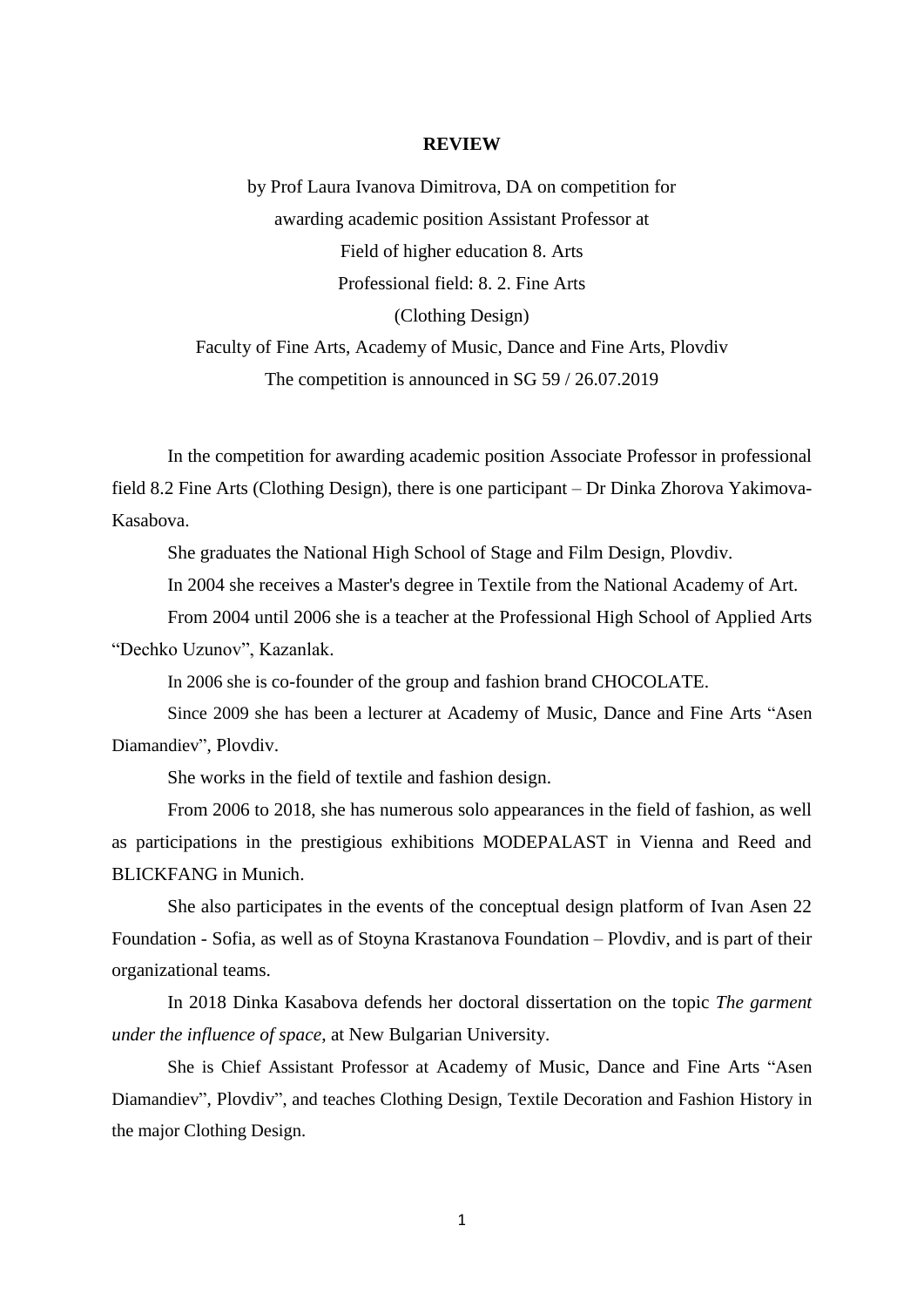## **REVIEW**

by Prof Laura Ivanova Dimitrova, DA on competition for awarding academic position Assistant Professor at Field of higher education 8. Arts Professional field: 8. 2. Fine Arts (Clothing Design) Faculty of Fine Arts, Academy of Music, Dance and Fine Arts, Plovdiv

The competition is announced in SG 59 / 26.07.2019

In the competition for awarding academic position Associate Professor in professional field 8.2 Fine Arts (Clothing Design), there is one participant – Dr Dinka Zhorova Yakimova-Kasabova.

She graduates the National High School of Stage and Film Design, Plovdiv.

In 2004 she receives a Master's degree in Textile from the National Academy of Art.

From 2004 until 2006 she is a teacher at the Professional High School of Applied Arts "Dechko Uzunov", Kazanlak.

In 2006 she is co-founder of the group and fashion brand CHOCOLATE.

Since 2009 she has been a lecturer at Academy of Music, Dance and Fine Arts "Asen Diamandiev", Plovdiv.

She works in the field of textile and fashion design.

From 2006 to 2018, she has numerous solo appearances in the field of fashion, as well as participations in the prestigious exhibitions MODEPALAST in Vienna and Reed and BLICKFANG in Munich.

She also participates in the events of the conceptual design platform of Ivan Asen 22 Foundation - Sofia, as well as of Stoyna Krastanova Foundation – Plovdiv, and is part of their organizational teams.

In 2018 Dinka Kasabova defends her doctoral dissertation on the topic *The garment under the influence of space*, at New Bulgarian University.

She is Chief Assistant Professor at Academy of Music, Dance and Fine Arts "Asen Diamandiev", Plovdiv", and teaches Clothing Design, Textile Decoration and Fashion History in the major Clothing Design.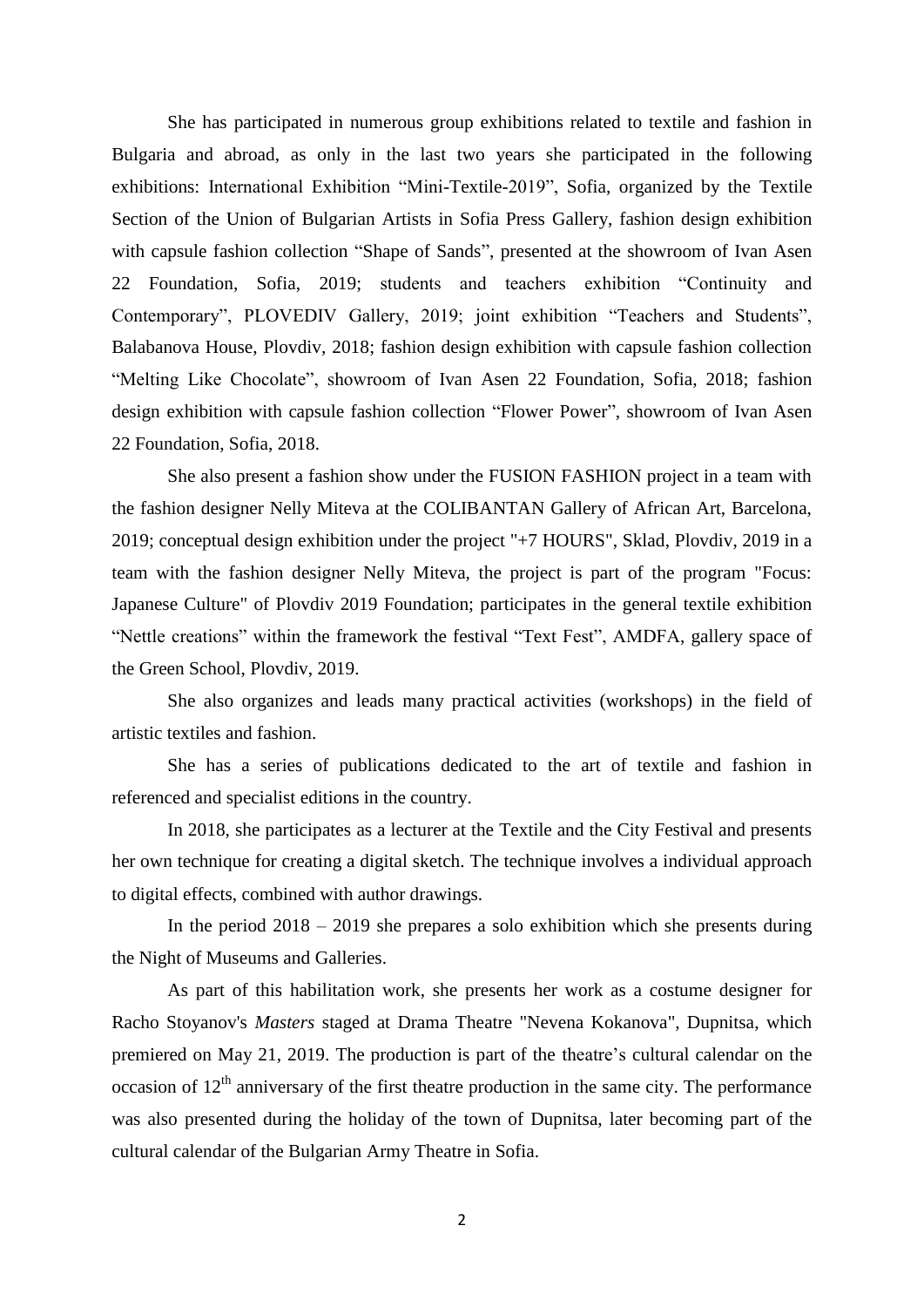She has participated in numerous group exhibitions related to textile and fashion in Bulgaria and abroad, as only in the last two years she participated in the following exhibitions: International Exhibition "Mini-Textile-2019", Sofia, organized by the Textile Section of the Union of Bulgarian Artists in Sofia Press Gallery, fashion design exhibition with capsule fashion collection "Shape of Sands", presented at the showroom of Ivan Asen 22 Foundation, Sofia, 2019; students and teachers exhibition "Continuity and Contemporary", PLOVEDIV Gallery, 2019; joint exhibition "Teachers and Students", Balabanova House, Plovdiv, 2018; fashion design exhibition with capsule fashion collection "Melting Like Chocolate", showroom of Ivan Asen 22 Foundation, Sofia, 2018; fashion design exhibition with capsule fashion collection "Flower Power", showroom of Ivan Asen 22 Foundation, Sofia, 2018.

She also present a fashion show under the FUSION FASHION project in a team with the fashion designer Nelly Miteva at the COLIBANTAN Gallery of African Art, Barcelona, 2019; conceptual design exhibition under the project "+7 HOURS", Sklad, Plovdiv, 2019 in a team with the fashion designer Nelly Miteva, the project is part of the program "Focus: Japanese Culture" of Plovdiv 2019 Foundation; participates in the general textile exhibition "Nettle creations" within the framework the festival "Text Fest", AMDFA, gallery space of the Green School, Plovdiv, 2019.

She also organizes and leads many practical activities (workshops) in the field of artistic textiles and fashion.

She has a series of publications dedicated to the art of textile and fashion in referenced and specialist editions in the country.

In 2018, she participates as a lecturer at the Textile and the City Festival and presents her own technique for creating a digital sketch. The technique involves a individual approach to digital effects, combined with author drawings.

In the period 2018 – 2019 she prepares a solo exhibition which she presents during the Night of Museums and Galleries.

As part of this habilitation work, she presents her work as a costume designer for Racho Stoyanov's *Masters* staged at Drama Theatre "Nevena Kokanova", Dupnitsa, which premiered on May 21, 2019. The production is part of the theatre's cultural calendar on the occasion of  $12<sup>th</sup>$  anniversary of the first theatre production in the same city. The performance was also presented during the holiday of the town of Dupnitsa, later becoming part of the cultural calendar of the Bulgarian Army Theatre in Sofia.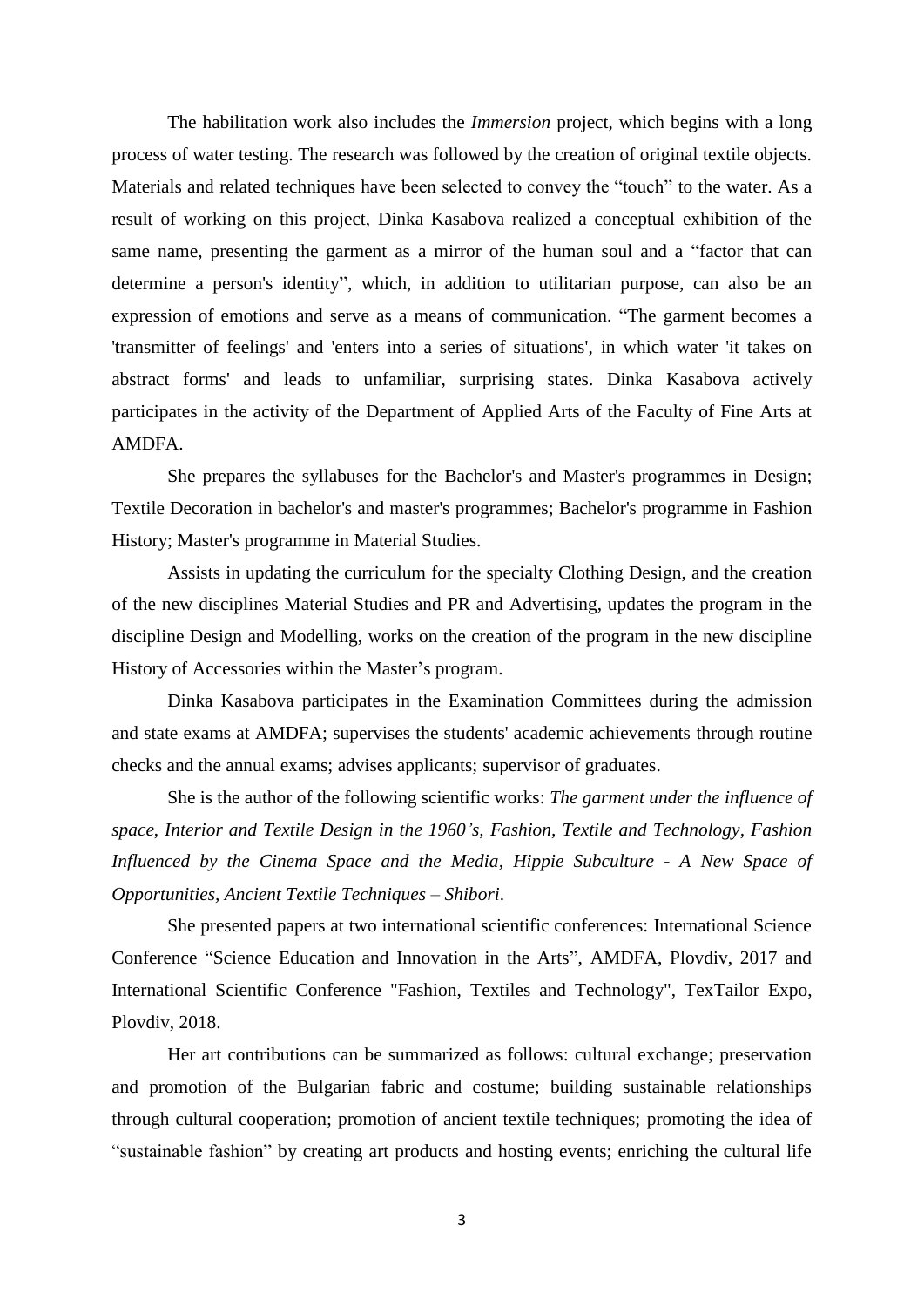The habilitation work also includes the *Immersion* project, which begins with a long process of water testing. The research was followed by the creation of original textile objects. Materials and related techniques have been selected to convey the "touch" to the water. As a result of working on this project, Dinka Kasabova realized a conceptual exhibition of the same name, presenting the garment as a mirror of the human soul and a "factor that can determine a person's identity", which, in addition to utilitarian purpose, can also be an expression of emotions and serve as a means of communication. "The garment becomes a 'transmitter of feelings' and 'enters into a series of situations', in which water 'it takes on abstract forms' and leads to unfamiliar, surprising states. Dinka Kasabova actively participates in the activity of the Department of Applied Arts of the Faculty of Fine Arts at AMDFA.

She prepares the syllabuses for the Bachelor's and Master's programmes in Design; Textile Decoration in bachelor's and master's programmes; Bachelor's programme in Fashion History; Master's programme in Material Studies.

Assists in updating the curriculum for the specialty Clothing Design, and the creation of the new disciplines Material Studies and PR and Advertising, updates the program in the discipline Design and Modelling, works on the creation of the program in the new discipline History of Accessories within the Master's program.

Dinka Kasabova participates in the Examination Committees during the admission and state exams at AMDFA; supervises the students' academic achievements through routine checks and the annual exams; advises applicants; supervisor of graduates.

She is the author of the following scientific works: *The garment under the influence of space*, *Interior and Textile Design in the 1960's, Fashion, Textile and Technology, Fashion Influenced by the Cinema Space and the Media, Hippie Subculture - A New Space of Opportunities, Ancient Textile Techniques – Shibori*.

She presented papers at two international scientific conferences: International Science Conference "Science Education and Innovation in the Arts", AMDFA, Plovdiv, 2017 and International Scientific Conference "Fashion, Textiles and Technology", TexTailor Expo, Plovdiv, 2018.

Her art contributions can be summarized as follows: cultural exchange; preservation and promotion of the Bulgarian fabric and costume; building sustainable relationships through cultural cooperation; promotion of ancient textile techniques; promoting the idea of "sustainable fashion" by creating art products and hosting events; enriching the cultural life